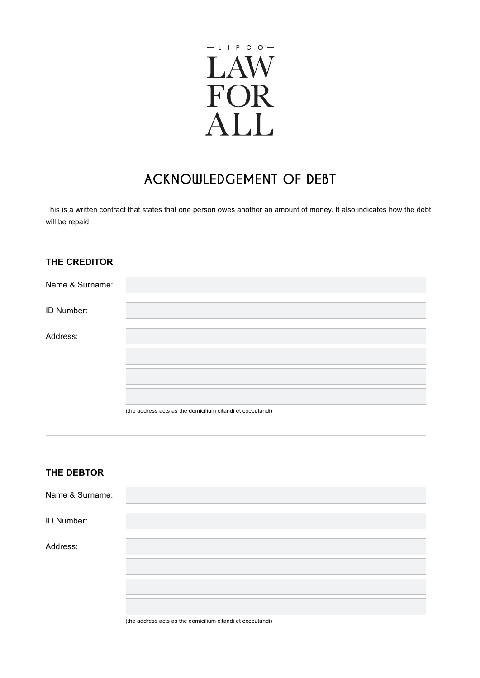

# **ACKNOWLEDGEMENT OF DEBT**

This is a written contract that states that one person owes another an amount of money. It also indicates how the debt will be repaid.

## **THE CREDITOR**

| Name & Surname: |                                                            |
|-----------------|------------------------------------------------------------|
| ID Number:      |                                                            |
| Address:        |                                                            |
|                 |                                                            |
|                 |                                                            |
|                 | (the address acts as the domicilium citandi et executandi) |

## **THE DEBTOR**

| Name & Surname: |  |
|-----------------|--|
| ID Number:      |  |
| Address:        |  |
|                 |  |
|                 |  |
|                 |  |

(the address acts as the domicilium citandi et executandi)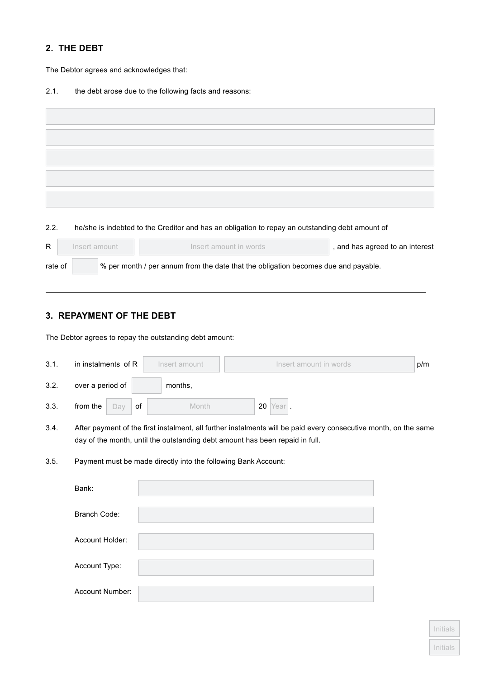## **2. THE DEBT**

The Debtor agrees and acknowledges that:

2.1. the debt arose due to the following facts and reasons:

#### 2.2. he/she is indebted to the Creditor and has an obligation to repay an outstanding debt amount of

| R       | Insert amount | Insert amount in words                                                             | and has agreed to an interest |
|---------|---------------|------------------------------------------------------------------------------------|-------------------------------|
| rate of |               | % per month / per annum from the date that the obligation becomes due and payable. |                               |
|         |               |                                                                                    |                               |

## **3. REPAYMENT OF THE DEBT**

The Debtor agrees to repay the outstanding debt amount:

| 3.1. | in instalments of R    | Insert amount                                                  | Insert amount in words                                                                                                                                                                           | p/m |
|------|------------------------|----------------------------------------------------------------|--------------------------------------------------------------------------------------------------------------------------------------------------------------------------------------------------|-----|
| 3.2. | over a period of       | months,                                                        |                                                                                                                                                                                                  |     |
| 3.3. | from the<br>of<br>Day  | Month                                                          | 20 Year                                                                                                                                                                                          |     |
| 3.4. |                        |                                                                | After payment of the first instalment, all further instalments will be paid every consecutive month, on the same<br>day of the month, until the outstanding debt amount has been repaid in full. |     |
| 3.5. |                        | Payment must be made directly into the following Bank Account: |                                                                                                                                                                                                  |     |
|      | Bank:                  |                                                                |                                                                                                                                                                                                  |     |
|      | Branch Code:           |                                                                |                                                                                                                                                                                                  |     |
|      | Account Holder:        |                                                                |                                                                                                                                                                                                  |     |
|      | Account Type:          |                                                                |                                                                                                                                                                                                  |     |
|      | <b>Account Number:</b> |                                                                |                                                                                                                                                                                                  |     |

Initials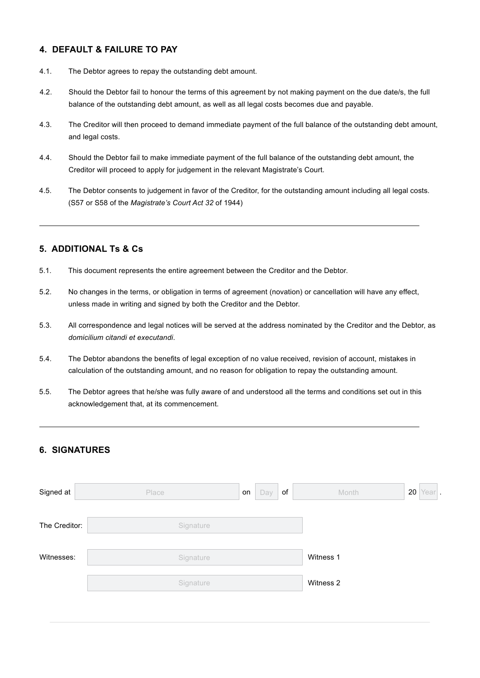## **4. DEFAULT & FAILURE TO PAY**

- 4.1. The Debtor agrees to repay the outstanding debt amount.
- 4.2. Should the Debtor fail to honour the terms of this agreement by not making payment on the due date/s, the full balance of the outstanding debt amount, as well as all legal costs becomes due and payable.
- 4.3. The Creditor will then proceed to demand immediate payment of the full balance of the outstanding debt amount, and legal costs.
- 4.4. Should the Debtor fail to make immediate payment of the full balance of the outstanding debt amount, the Creditor will proceed to apply for judgement in the relevant Magistrate's Court.
- 4.5. The Debtor consents to judgement in favor of the Creditor, for the outstanding amount including all legal costs. (S57 or S58 of the *Magistrate's Court Act 32* of 1944)

#### **5. ADDITIONAL Ts & Cs**

- 5.1. This document represents the entire agreement between the Creditor and the Debtor.
- 5.2. No changes in the terms, or obligation in terms of agreement (novation) or cancellation will have any effect, unless made in writing and signed by both the Creditor and the Debtor.
- 5.3. All correspondence and legal notices will be served at the address nominated by the Creditor and the Debtor, as *domicilium citandi et executandi*.
- 5.4. The Debtor abandons the benefits of legal exception of no value received, revision of account, mistakes in calculation of the outstanding amount, and no reason for obligation to repay the outstanding amount.
- 5.5. The Debtor agrees that he/she was fully aware of and understood all the terms and conditions set out in this acknowledgement that, at its commencement.

## **6. SIGNATURES**

| Signed at     | Place     | of<br>Day<br>on | Month     | $20$ Year. |
|---------------|-----------|-----------------|-----------|------------|
| The Creditor: | Signature |                 |           |            |
| Witnesses:    | Signature |                 | Witness 1 |            |
|               | Signature |                 | Witness 2 |            |